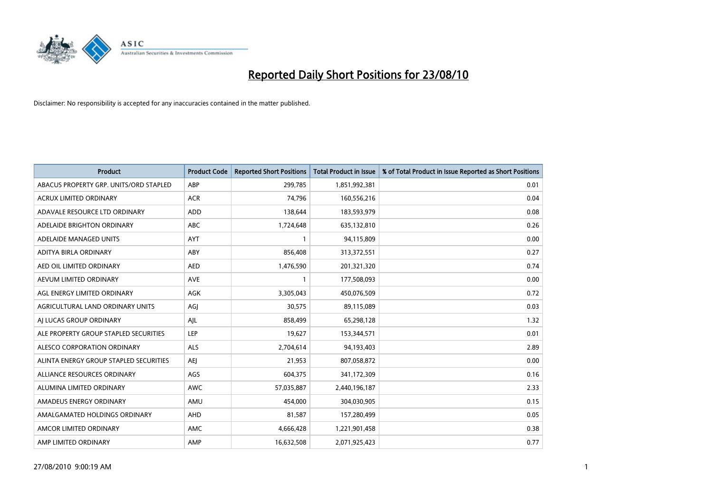

| <b>Product</b>                         | <b>Product Code</b> | <b>Reported Short Positions</b> | <b>Total Product in Issue</b> | % of Total Product in Issue Reported as Short Positions |
|----------------------------------------|---------------------|---------------------------------|-------------------------------|---------------------------------------------------------|
| ABACUS PROPERTY GRP. UNITS/ORD STAPLED | ABP                 | 299,785                         | 1,851,992,381                 | 0.01                                                    |
| <b>ACRUX LIMITED ORDINARY</b>          | <b>ACR</b>          | 74,796                          | 160,556,216                   | 0.04                                                    |
| ADAVALE RESOURCE LTD ORDINARY          | <b>ADD</b>          | 138,644                         | 183,593,979                   | 0.08                                                    |
| ADELAIDE BRIGHTON ORDINARY             | <b>ABC</b>          | 1,724,648                       | 635,132,810                   | 0.26                                                    |
| ADELAIDE MANAGED UNITS                 | <b>AYT</b>          |                                 | 94,115,809                    | 0.00                                                    |
| ADITYA BIRLA ORDINARY                  | ABY                 | 856,408                         | 313,372,551                   | 0.27                                                    |
| AED OIL LIMITED ORDINARY               | <b>AED</b>          | 1,476,590                       | 201,321,320                   | 0.74                                                    |
| AEVUM LIMITED ORDINARY                 | <b>AVE</b>          |                                 | 177,508,093                   | 0.00                                                    |
| AGL ENERGY LIMITED ORDINARY            | <b>AGK</b>          | 3,305,043                       | 450,076,509                   | 0.72                                                    |
| AGRICULTURAL LAND ORDINARY UNITS       | AGI                 | 30,575                          | 89,115,089                    | 0.03                                                    |
| AI LUCAS GROUP ORDINARY                | AJL                 | 858,499                         | 65,298,128                    | 1.32                                                    |
| ALE PROPERTY GROUP STAPLED SECURITIES  | <b>LEP</b>          | 19,627                          | 153,344,571                   | 0.01                                                    |
| ALESCO CORPORATION ORDINARY            | <b>ALS</b>          | 2,704,614                       | 94,193,403                    | 2.89                                                    |
| ALINTA ENERGY GROUP STAPLED SECURITIES | <b>AEI</b>          | 21,953                          | 807,058,872                   | 0.00                                                    |
| ALLIANCE RESOURCES ORDINARY            | AGS                 | 604,375                         | 341,172,309                   | 0.16                                                    |
| ALUMINA LIMITED ORDINARY               | <b>AWC</b>          | 57,035,887                      | 2,440,196,187                 | 2.33                                                    |
| AMADEUS ENERGY ORDINARY                | AMU                 | 454,000                         | 304,030,905                   | 0.15                                                    |
| AMALGAMATED HOLDINGS ORDINARY          | AHD                 | 81,587                          | 157,280,499                   | 0.05                                                    |
| AMCOR LIMITED ORDINARY                 | AMC                 | 4,666,428                       | 1,221,901,458                 | 0.38                                                    |
| AMP LIMITED ORDINARY                   | AMP                 | 16,632,508                      | 2,071,925,423                 | 0.77                                                    |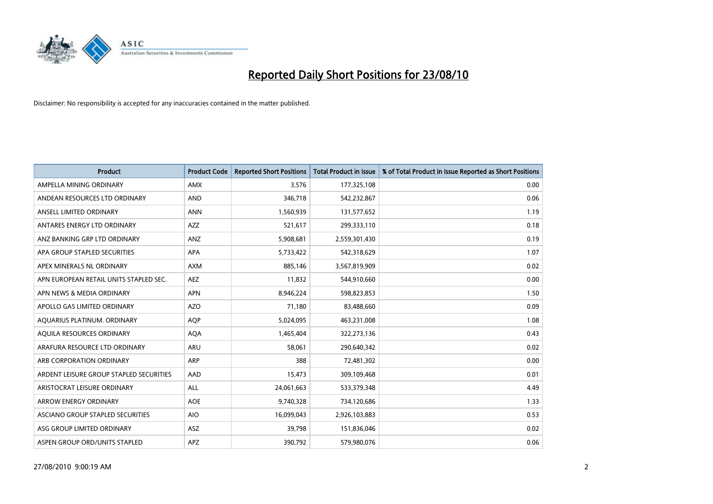

| <b>Product</b>                          | <b>Product Code</b> | <b>Reported Short Positions</b> | Total Product in Issue | % of Total Product in Issue Reported as Short Positions |
|-----------------------------------------|---------------------|---------------------------------|------------------------|---------------------------------------------------------|
| AMPELLA MINING ORDINARY                 | <b>AMX</b>          | 3,576                           | 177,325,108            | 0.00                                                    |
| ANDEAN RESOURCES LTD ORDINARY           | <b>AND</b>          | 346,718                         | 542,232,867            | 0.06                                                    |
| ANSELL LIMITED ORDINARY                 | <b>ANN</b>          | 1,560,939                       | 131,577,652            | 1.19                                                    |
| ANTARES ENERGY LTD ORDINARY             | <b>AZZ</b>          | 521,617                         | 299,333,110            | 0.18                                                    |
| ANZ BANKING GRP LTD ORDINARY            | <b>ANZ</b>          | 5,908,681                       | 2,559,301,430          | 0.19                                                    |
| APA GROUP STAPLED SECURITIES            | <b>APA</b>          | 5,733,422                       | 542,318,629            | 1.07                                                    |
| APEX MINERALS NL ORDINARY               | <b>AXM</b>          | 885.146                         | 3,567,819,909          | 0.02                                                    |
| APN EUROPEAN RETAIL UNITS STAPLED SEC.  | <b>AEZ</b>          | 11,832                          | 544,910,660            | 0.00                                                    |
| APN NEWS & MEDIA ORDINARY               | <b>APN</b>          | 8,946,224                       | 598,823,853            | 1.50                                                    |
| APOLLO GAS LIMITED ORDINARY             | AZO                 | 71.180                          | 83,488,660             | 0.09                                                    |
| AQUARIUS PLATINUM. ORDINARY             | <b>AOP</b>          | 5,024,095                       | 463,231,008            | 1.08                                                    |
| AQUILA RESOURCES ORDINARY               | <b>AQA</b>          | 1,465,404                       | 322,273,136            | 0.43                                                    |
| ARAFURA RESOURCE LTD ORDINARY           | <b>ARU</b>          | 58.061                          | 290,640,342            | 0.02                                                    |
| ARB CORPORATION ORDINARY                | ARP                 | 388                             | 72,481,302             | 0.00                                                    |
| ARDENT LEISURE GROUP STAPLED SECURITIES | AAD                 | 15,473                          | 309,109,468            | 0.01                                                    |
| ARISTOCRAT LEISURE ORDINARY             | <b>ALL</b>          | 24,061,663                      | 533,379,348            | 4.49                                                    |
| <b>ARROW ENERGY ORDINARY</b>            | <b>AOE</b>          | 9,740,328                       | 734,120,686            | 1.33                                                    |
| ASCIANO GROUP STAPLED SECURITIES        | <b>AIO</b>          | 16,099,043                      | 2,926,103,883          | 0.53                                                    |
| ASG GROUP LIMITED ORDINARY              | <b>ASZ</b>          | 39,798                          | 151,836,046            | 0.02                                                    |
| ASPEN GROUP ORD/UNITS STAPLED           | <b>APZ</b>          | 390,792                         | 579,980,076            | 0.06                                                    |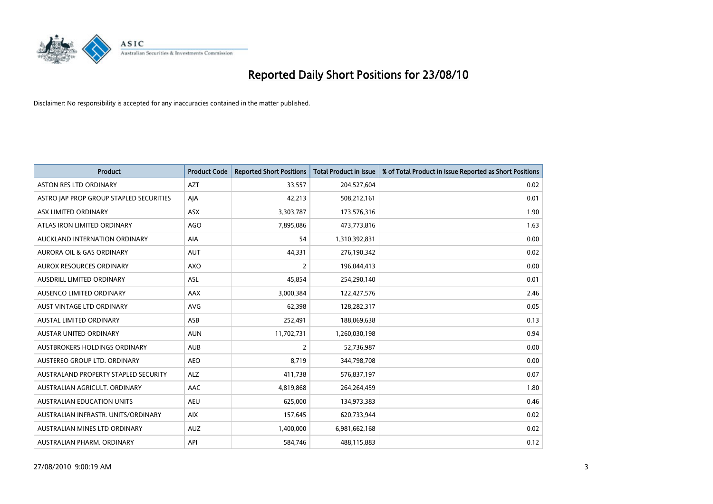

| <b>Product</b>                          | <b>Product Code</b> | <b>Reported Short Positions</b> | Total Product in Issue | % of Total Product in Issue Reported as Short Positions |
|-----------------------------------------|---------------------|---------------------------------|------------------------|---------------------------------------------------------|
| <b>ASTON RES LTD ORDINARY</b>           | <b>AZT</b>          | 33,557                          | 204,527,604            | 0.02                                                    |
| ASTRO JAP PROP GROUP STAPLED SECURITIES | AJA                 | 42,213                          | 508,212,161            | 0.01                                                    |
| ASX LIMITED ORDINARY                    | <b>ASX</b>          | 3,303,787                       | 173,576,316            | 1.90                                                    |
| ATLAS IRON LIMITED ORDINARY             | AGO                 | 7,895,086                       | 473,773,816            | 1.63                                                    |
| AUCKLAND INTERNATION ORDINARY           | <b>AIA</b>          | 54                              | 1,310,392,831          | 0.00                                                    |
| AURORA OIL & GAS ORDINARY               | <b>AUT</b>          | 44,331                          | 276,190,342            | 0.02                                                    |
| <b>AUROX RESOURCES ORDINARY</b>         | <b>AXO</b>          | 2                               | 196,044,413            | 0.00                                                    |
| AUSDRILL LIMITED ORDINARY               | <b>ASL</b>          | 45.854                          | 254,290,140            | 0.01                                                    |
| AUSENCO LIMITED ORDINARY                | AAX                 | 3,000,384                       | 122,427,576            | 2.46                                                    |
| AUST VINTAGE LTD ORDINARY               | <b>AVG</b>          | 62,398                          | 128,282,317            | 0.05                                                    |
| AUSTAL LIMITED ORDINARY                 | ASB                 | 252,491                         | 188,069,638            | 0.13                                                    |
| <b>AUSTAR UNITED ORDINARY</b>           | <b>AUN</b>          | 11,702,731                      | 1,260,030,198          | 0.94                                                    |
| AUSTBROKERS HOLDINGS ORDINARY           | <b>AUB</b>          | $\overline{2}$                  | 52,736,987             | 0.00                                                    |
| AUSTEREO GROUP LTD. ORDINARY            | <b>AEO</b>          | 8,719                           | 344,798,708            | 0.00                                                    |
| AUSTRALAND PROPERTY STAPLED SECURITY    | <b>ALZ</b>          | 411,738                         | 576,837,197            | 0.07                                                    |
| AUSTRALIAN AGRICULT. ORDINARY           | AAC                 | 4,819,868                       | 264,264,459            | 1.80                                                    |
| <b>AUSTRALIAN EDUCATION UNITS</b>       | <b>AEU</b>          | 625,000                         | 134,973,383            | 0.46                                                    |
| AUSTRALIAN INFRASTR. UNITS/ORDINARY     | <b>AIX</b>          | 157,645                         | 620,733,944            | 0.02                                                    |
| AUSTRALIAN MINES LTD ORDINARY           | <b>AUZ</b>          | 1,400,000                       | 6,981,662,168          | 0.02                                                    |
| AUSTRALIAN PHARM. ORDINARY              | API                 | 584,746                         | 488,115,883            | 0.12                                                    |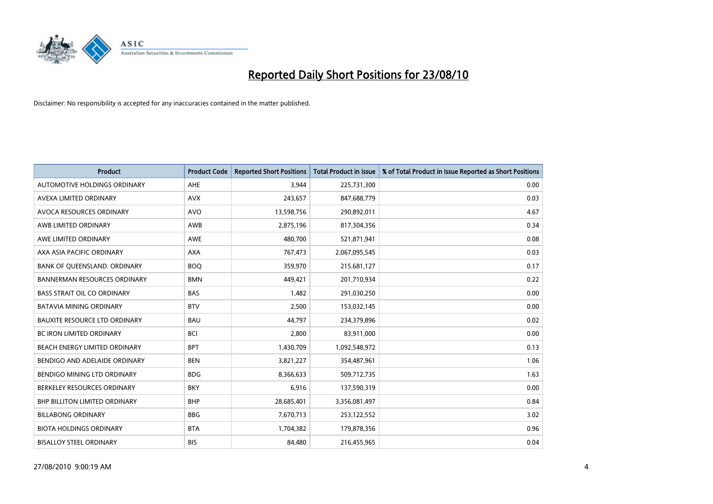

| <b>Product</b>                       | <b>Product Code</b> | <b>Reported Short Positions</b> | <b>Total Product in Issue</b> | % of Total Product in Issue Reported as Short Positions |
|--------------------------------------|---------------------|---------------------------------|-------------------------------|---------------------------------------------------------|
| AUTOMOTIVE HOLDINGS ORDINARY         | <b>AHE</b>          | 3,944                           | 225,731,300                   | 0.00                                                    |
| AVEXA LIMITED ORDINARY               | <b>AVX</b>          | 243,657                         | 847,688,779                   | 0.03                                                    |
| AVOCA RESOURCES ORDINARY             | <b>AVO</b>          | 13,598,756                      | 290,892,011                   | 4.67                                                    |
| AWB LIMITED ORDINARY                 | AWB                 | 2,875,196                       | 817,304,356                   | 0.34                                                    |
| AWE LIMITED ORDINARY                 | <b>AWE</b>          | 480.700                         | 521,871,941                   | 0.08                                                    |
| AXA ASIA PACIFIC ORDINARY            | <b>AXA</b>          | 767,473                         | 2,067,095,545                 | 0.03                                                    |
| BANK OF QUEENSLAND. ORDINARY         | <b>BOO</b>          | 359,970                         | 215,681,127                   | 0.17                                                    |
| <b>BANNERMAN RESOURCES ORDINARY</b>  | <b>BMN</b>          | 449,421                         | 201,710,934                   | 0.22                                                    |
| <b>BASS STRAIT OIL CO ORDINARY</b>   | <b>BAS</b>          | 1,482                           | 291,030,250                   | 0.00                                                    |
| <b>BATAVIA MINING ORDINARY</b>       | <b>BTV</b>          | 2,500                           | 153,032,145                   | 0.00                                                    |
| <b>BAUXITE RESOURCE LTD ORDINARY</b> | <b>BAU</b>          | 44,797                          | 234,379,896                   | 0.02                                                    |
| <b>BC IRON LIMITED ORDINARY</b>      | <b>BCI</b>          | 2,800                           | 83,911,000                    | 0.00                                                    |
| BEACH ENERGY LIMITED ORDINARY        | <b>BPT</b>          | 1,430,709                       | 1,092,548,972                 | 0.13                                                    |
| BENDIGO AND ADELAIDE ORDINARY        | <b>BEN</b>          | 3,821,227                       | 354,487,961                   | 1.06                                                    |
| BENDIGO MINING LTD ORDINARY          | <b>BDG</b>          | 8,366,633                       | 509,712,735                   | 1.63                                                    |
| BERKELEY RESOURCES ORDINARY          | <b>BKY</b>          | 6,916                           | 137,590,319                   | 0.00                                                    |
| <b>BHP BILLITON LIMITED ORDINARY</b> | <b>BHP</b>          | 28,685,401                      | 3,356,081,497                 | 0.84                                                    |
| <b>BILLABONG ORDINARY</b>            | <b>BBG</b>          | 7,670,713                       | 253,122,552                   | 3.02                                                    |
| <b>BIOTA HOLDINGS ORDINARY</b>       | <b>BTA</b>          | 1,704,382                       | 179,878,356                   | 0.96                                                    |
| <b>BISALLOY STEEL ORDINARY</b>       | <b>BIS</b>          | 84,480                          | 216,455,965                   | 0.04                                                    |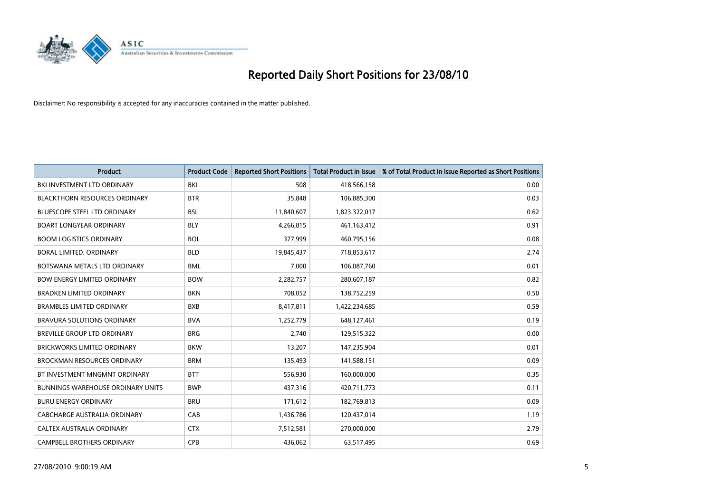

| <b>Product</b>                           | <b>Product Code</b> | <b>Reported Short Positions</b> | <b>Total Product in Issue</b> | % of Total Product in Issue Reported as Short Positions |
|------------------------------------------|---------------------|---------------------------------|-------------------------------|---------------------------------------------------------|
| BKI INVESTMENT LTD ORDINARY              | BKI                 | 508                             | 418,566,158                   | 0.00                                                    |
| <b>BLACKTHORN RESOURCES ORDINARY</b>     | <b>BTR</b>          | 35,848                          | 106,885,300                   | 0.03                                                    |
| <b>BLUESCOPE STEEL LTD ORDINARY</b>      | <b>BSL</b>          | 11,840,607                      | 1,823,322,017                 | 0.62                                                    |
| <b>BOART LONGYEAR ORDINARY</b>           | <b>BLY</b>          | 4,266,815                       | 461, 163, 412                 | 0.91                                                    |
| <b>BOOM LOGISTICS ORDINARY</b>           | <b>BOL</b>          | 377,999                         | 460,795,156                   | 0.08                                                    |
| <b>BORAL LIMITED, ORDINARY</b>           | <b>BLD</b>          | 19,845,437                      | 718,853,617                   | 2.74                                                    |
| BOTSWANA METALS LTD ORDINARY             | <b>BML</b>          | 7,000                           | 106,087,760                   | 0.01                                                    |
| <b>BOW ENERGY LIMITED ORDINARY</b>       | <b>BOW</b>          | 2,282,757                       | 280,607,187                   | 0.82                                                    |
| <b>BRADKEN LIMITED ORDINARY</b>          | <b>BKN</b>          | 708,052                         | 138,752,259                   | 0.50                                                    |
| <b>BRAMBLES LIMITED ORDINARY</b>         | <b>BXB</b>          | 8,417,811                       | 1,422,234,685                 | 0.59                                                    |
| <b>BRAVURA SOLUTIONS ORDINARY</b>        | <b>BVA</b>          | 1,252,779                       | 648,127,461                   | 0.19                                                    |
| <b>BREVILLE GROUP LTD ORDINARY</b>       | <b>BRG</b>          | 2,740                           | 129,515,322                   | 0.00                                                    |
| BRICKWORKS LIMITED ORDINARY              | <b>BKW</b>          | 13,207                          | 147,235,904                   | 0.01                                                    |
| <b>BROCKMAN RESOURCES ORDINARY</b>       | <b>BRM</b>          | 135,493                         | 141,588,151                   | 0.09                                                    |
| BT INVESTMENT MNGMNT ORDINARY            | <b>BTT</b>          | 556,930                         | 160,000,000                   | 0.35                                                    |
| <b>BUNNINGS WAREHOUSE ORDINARY UNITS</b> | <b>BWP</b>          | 437,316                         | 420,711,773                   | 0.11                                                    |
| <b>BURU ENERGY ORDINARY</b>              | <b>BRU</b>          | 171,612                         | 182,769,813                   | 0.09                                                    |
| CABCHARGE AUSTRALIA ORDINARY             | CAB                 | 1,436,786                       | 120,437,014                   | 1.19                                                    |
| CALTEX AUSTRALIA ORDINARY                | <b>CTX</b>          | 7,512,581                       | 270,000,000                   | 2.79                                                    |
| CAMPBELL BROTHERS ORDINARY               | <b>CPB</b>          | 436,062                         | 63,517,495                    | 0.69                                                    |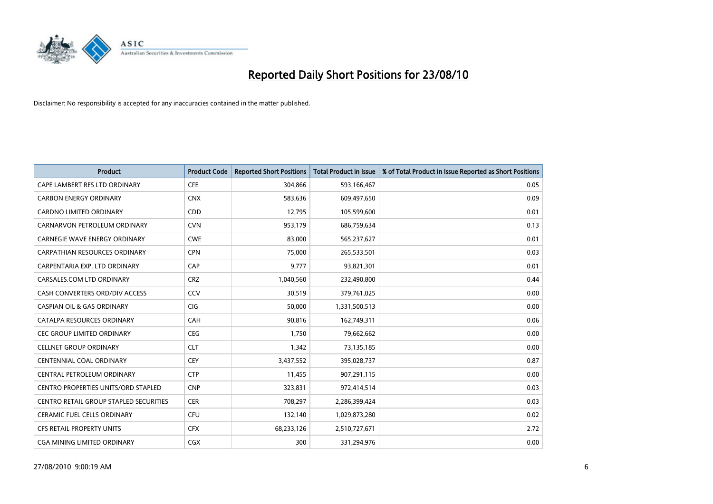

| <b>Product</b>                         | <b>Product Code</b> | <b>Reported Short Positions</b> | <b>Total Product in Issue</b> | % of Total Product in Issue Reported as Short Positions |
|----------------------------------------|---------------------|---------------------------------|-------------------------------|---------------------------------------------------------|
| CAPE LAMBERT RES LTD ORDINARY          | <b>CFE</b>          | 304,866                         | 593,166,467                   | 0.05                                                    |
| <b>CARBON ENERGY ORDINARY</b>          | <b>CNX</b>          | 583,636                         | 609,497,650                   | 0.09                                                    |
| <b>CARDNO LIMITED ORDINARY</b>         | CDD                 | 12,795                          | 105,599,600                   | 0.01                                                    |
| CARNARVON PETROLEUM ORDINARY           | <b>CVN</b>          | 953,179                         | 686,759,634                   | 0.13                                                    |
| <b>CARNEGIE WAVE ENERGY ORDINARY</b>   | <b>CWE</b>          | 83,000                          | 565,237,627                   | 0.01                                                    |
| <b>CARPATHIAN RESOURCES ORDINARY</b>   | <b>CPN</b>          | 75,000                          | 265,533,501                   | 0.03                                                    |
| CARPENTARIA EXP. LTD ORDINARY          | CAP                 | 9.777                           | 93,821,301                    | 0.01                                                    |
| CARSALES.COM LTD ORDINARY              | <b>CRZ</b>          | 1,040,560                       | 232,490,800                   | 0.44                                                    |
| CASH CONVERTERS ORD/DIV ACCESS         | CCV                 | 30,519                          | 379,761,025                   | 0.00                                                    |
| <b>CASPIAN OIL &amp; GAS ORDINARY</b>  | <b>CIG</b>          | 50,000                          | 1,331,500,513                 | 0.00                                                    |
| CATALPA RESOURCES ORDINARY             | <b>CAH</b>          | 90,816                          | 162,749,311                   | 0.06                                                    |
| <b>CEC GROUP LIMITED ORDINARY</b>      | <b>CEG</b>          | 1,750                           | 79,662,662                    | 0.00                                                    |
| <b>CELLNET GROUP ORDINARY</b>          | <b>CLT</b>          | 1,342                           | 73,135,185                    | 0.00                                                    |
| <b>CENTENNIAL COAL ORDINARY</b>        | <b>CEY</b>          | 3,437,552                       | 395,028,737                   | 0.87                                                    |
| CENTRAL PETROLEUM ORDINARY             | <b>CTP</b>          | 11,455                          | 907,291,115                   | 0.00                                                    |
| CENTRO PROPERTIES UNITS/ORD STAPLED    | <b>CNP</b>          | 323,831                         | 972,414,514                   | 0.03                                                    |
| CENTRO RETAIL GROUP STAPLED SECURITIES | <b>CER</b>          | 708,297                         | 2,286,399,424                 | 0.03                                                    |
| CERAMIC FUEL CELLS ORDINARY            | CFU                 | 132,140                         | 1,029,873,280                 | 0.02                                                    |
| CFS RETAIL PROPERTY UNITS              | <b>CFX</b>          | 68,233,126                      | 2,510,727,671                 | 2.72                                                    |
| CGA MINING LIMITED ORDINARY            | <b>CGX</b>          | 300                             | 331,294,976                   | 0.00                                                    |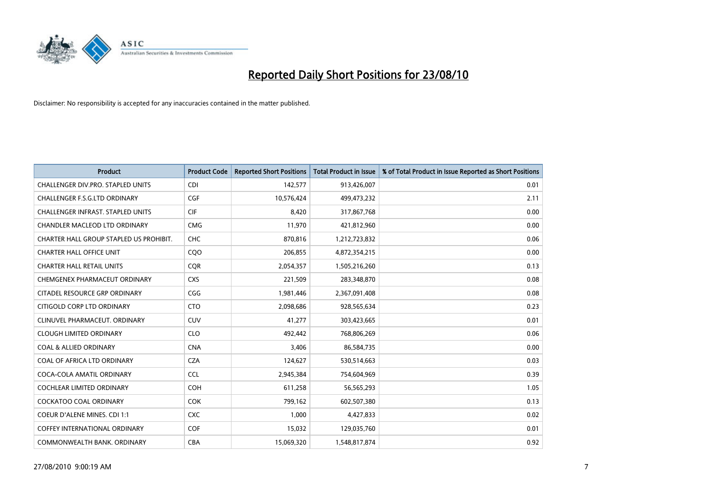

| <b>Product</b>                           | <b>Product Code</b> | <b>Reported Short Positions</b> | <b>Total Product in Issue</b> | % of Total Product in Issue Reported as Short Positions |
|------------------------------------------|---------------------|---------------------------------|-------------------------------|---------------------------------------------------------|
| CHALLENGER DIV.PRO. STAPLED UNITS        | <b>CDI</b>          | 142,577                         | 913,426,007                   | 0.01                                                    |
| CHALLENGER F.S.G.LTD ORDINARY            | CGF                 | 10,576,424                      | 499,473,232                   | 2.11                                                    |
| <b>CHALLENGER INFRAST, STAPLED UNITS</b> | <b>CIF</b>          | 8,420                           | 317,867,768                   | 0.00                                                    |
| <b>CHANDLER MACLEOD LTD ORDINARY</b>     | <b>CMG</b>          | 11,970                          | 421,812,960                   | 0.00                                                    |
| CHARTER HALL GROUP STAPLED US PROHIBIT.  | <b>CHC</b>          | 870,816                         | 1,212,723,832                 | 0.06                                                    |
| <b>CHARTER HALL OFFICE UNIT</b>          | COO                 | 206,855                         | 4,872,354,215                 | 0.00                                                    |
| <b>CHARTER HALL RETAIL UNITS</b>         | <b>COR</b>          | 2,054,357                       | 1,505,216,260                 | 0.13                                                    |
| CHEMGENEX PHARMACEUT ORDINARY            | <b>CXS</b>          | 221,509                         | 283,348,870                   | 0.08                                                    |
| CITADEL RESOURCE GRP ORDINARY            | CGG                 | 1,981,446                       | 2,367,091,408                 | 0.08                                                    |
| CITIGOLD CORP LTD ORDINARY               | <b>CTO</b>          | 2,098,686                       | 928,565,634                   | 0.23                                                    |
| CLINUVEL PHARMACEUT. ORDINARY            | <b>CUV</b>          | 41,277                          | 303,423,665                   | 0.01                                                    |
| <b>CLOUGH LIMITED ORDINARY</b>           | <b>CLO</b>          | 492,442                         | 768,806,269                   | 0.06                                                    |
| <b>COAL &amp; ALLIED ORDINARY</b>        | <b>CNA</b>          | 3,406                           | 86,584,735                    | 0.00                                                    |
| COAL OF AFRICA LTD ORDINARY              | <b>CZA</b>          | 124,627                         | 530,514,663                   | 0.03                                                    |
| COCA-COLA AMATIL ORDINARY                | <b>CCL</b>          | 2,945,384                       | 754,604,969                   | 0.39                                                    |
| <b>COCHLEAR LIMITED ORDINARY</b>         | <b>COH</b>          | 611,258                         | 56,565,293                    | 1.05                                                    |
| COCKATOO COAL ORDINARY                   | <b>COK</b>          | 799,162                         | 602,507,380                   | 0.13                                                    |
| COEUR D'ALENE MINES. CDI 1:1             | <b>CXC</b>          | 1,000                           | 4,427,833                     | 0.02                                                    |
| <b>COFFEY INTERNATIONAL ORDINARY</b>     | COF                 | 15,032                          | 129,035,760                   | 0.01                                                    |
| COMMONWEALTH BANK, ORDINARY              | <b>CBA</b>          | 15,069,320                      | 1,548,817,874                 | 0.92                                                    |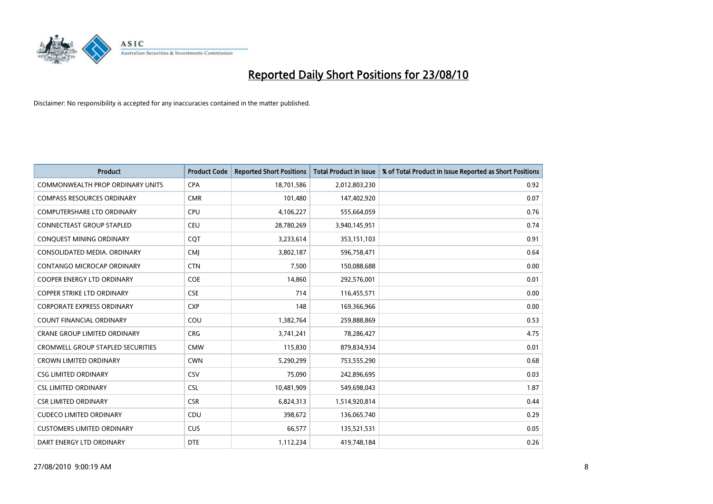

| <b>Product</b>                           | <b>Product Code</b> | <b>Reported Short Positions</b> | <b>Total Product in Issue</b> | % of Total Product in Issue Reported as Short Positions |
|------------------------------------------|---------------------|---------------------------------|-------------------------------|---------------------------------------------------------|
| <b>COMMONWEALTH PROP ORDINARY UNITS</b>  | <b>CPA</b>          | 18,701,586                      | 2,012,803,230                 | 0.92                                                    |
| <b>COMPASS RESOURCES ORDINARY</b>        | <b>CMR</b>          | 101,480                         | 147,402,920                   | 0.07                                                    |
| <b>COMPUTERSHARE LTD ORDINARY</b>        | CPU                 | 4,106,227                       | 555,664,059                   | 0.76                                                    |
| CONNECTEAST GROUP STAPLED                | <b>CEU</b>          | 28,780,269                      | 3,940,145,951                 | 0.74                                                    |
| CONQUEST MINING ORDINARY                 | COT                 | 3,233,614                       | 353,151,103                   | 0.91                                                    |
| CONSOLIDATED MEDIA, ORDINARY             | CMJ                 | 3,802,187                       | 596,758,471                   | 0.64                                                    |
| CONTANGO MICROCAP ORDINARY               | <b>CTN</b>          | 7,500                           | 150,088,688                   | 0.00                                                    |
| <b>COOPER ENERGY LTD ORDINARY</b>        | <b>COE</b>          | 14,860                          | 292,576,001                   | 0.01                                                    |
| COPPER STRIKE LTD ORDINARY               | <b>CSE</b>          | 714                             | 116,455,571                   | 0.00                                                    |
| <b>CORPORATE EXPRESS ORDINARY</b>        | <b>CXP</b>          | 148                             | 169,366,966                   | 0.00                                                    |
| <b>COUNT FINANCIAL ORDINARY</b>          | COU                 | 1,382,764                       | 259,888,869                   | 0.53                                                    |
| <b>CRANE GROUP LIMITED ORDINARY</b>      | <b>CRG</b>          | 3,741,241                       | 78,286,427                    | 4.75                                                    |
| <b>CROMWELL GROUP STAPLED SECURITIES</b> | <b>CMW</b>          | 115,830                         | 879,834,934                   | 0.01                                                    |
| <b>CROWN LIMITED ORDINARY</b>            | <b>CWN</b>          | 5,290,299                       | 753,555,290                   | 0.68                                                    |
| <b>CSG LIMITED ORDINARY</b>              | CSV                 | 75,090                          | 242,896,695                   | 0.03                                                    |
| <b>CSL LIMITED ORDINARY</b>              | CSL                 | 10,481,909                      | 549,698,043                   | 1.87                                                    |
| <b>CSR LIMITED ORDINARY</b>              | <b>CSR</b>          | 6,824,313                       | 1,514,920,814                 | 0.44                                                    |
| <b>CUDECO LIMITED ORDINARY</b>           | CDU                 | 398,672                         | 136,065,740                   | 0.29                                                    |
| <b>CUSTOMERS LIMITED ORDINARY</b>        | CUS                 | 66,577                          | 135,521,531                   | 0.05                                                    |
| DART ENERGY LTD ORDINARY                 | <b>DTE</b>          | 1,112,234                       | 419,748,184                   | 0.26                                                    |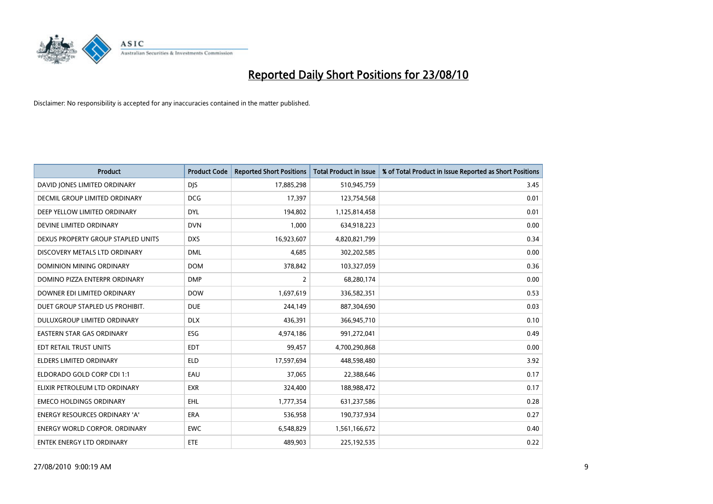

| <b>Product</b>                       | <b>Product Code</b> | <b>Reported Short Positions</b> | Total Product in Issue | % of Total Product in Issue Reported as Short Positions |
|--------------------------------------|---------------------|---------------------------------|------------------------|---------------------------------------------------------|
| DAVID JONES LIMITED ORDINARY         | <b>DJS</b>          | 17,885,298                      | 510,945,759            | 3.45                                                    |
| DECMIL GROUP LIMITED ORDINARY        | <b>DCG</b>          | 17,397                          | 123,754,568            | 0.01                                                    |
| DEEP YELLOW LIMITED ORDINARY         | <b>DYL</b>          | 194,802                         | 1,125,814,458          | 0.01                                                    |
| DEVINE LIMITED ORDINARY              | <b>DVN</b>          | 1,000                           | 634,918,223            | 0.00                                                    |
| DEXUS PROPERTY GROUP STAPLED UNITS   | <b>DXS</b>          | 16,923,607                      | 4,820,821,799          | 0.34                                                    |
| DISCOVERY METALS LTD ORDINARY        | <b>DML</b>          | 4,685                           | 302,202,585            | 0.00                                                    |
| DOMINION MINING ORDINARY             | <b>DOM</b>          | 378,842                         | 103,327,059            | 0.36                                                    |
| DOMINO PIZZA ENTERPR ORDINARY        | <b>DMP</b>          | $\overline{2}$                  | 68,280,174             | 0.00                                                    |
| DOWNER EDI LIMITED ORDINARY          | <b>DOW</b>          | 1,697,619                       | 336,582,351            | 0.53                                                    |
| DUET GROUP STAPLED US PROHIBIT.      | <b>DUE</b>          | 244,149                         | 887,304,690            | 0.03                                                    |
| DULUXGROUP LIMITED ORDINARY          | <b>DLX</b>          | 436,391                         | 366,945,710            | 0.10                                                    |
| <b>EASTERN STAR GAS ORDINARY</b>     | ESG                 | 4,974,186                       | 991,272,041            | 0.49                                                    |
| EDT RETAIL TRUST UNITS               | <b>EDT</b>          | 99,457                          | 4,700,290,868          | 0.00                                                    |
| <b>ELDERS LIMITED ORDINARY</b>       | <b>ELD</b>          | 17,597,694                      | 448,598,480            | 3.92                                                    |
| ELDORADO GOLD CORP CDI 1:1           | EAU                 | 37,065                          | 22,388,646             | 0.17                                                    |
| ELIXIR PETROLEUM LTD ORDINARY        | <b>EXR</b>          | 324,400                         | 188,988,472            | 0.17                                                    |
| <b>EMECO HOLDINGS ORDINARY</b>       | EHL                 | 1,777,354                       | 631,237,586            | 0.28                                                    |
| ENERGY RESOURCES ORDINARY 'A'        | <b>ERA</b>          | 536,958                         | 190,737,934            | 0.27                                                    |
| <b>ENERGY WORLD CORPOR, ORDINARY</b> | <b>EWC</b>          | 6,548,829                       | 1,561,166,672          | 0.40                                                    |
| ENTEK ENERGY LTD ORDINARY            | <b>ETE</b>          | 489,903                         | 225,192,535            | 0.22                                                    |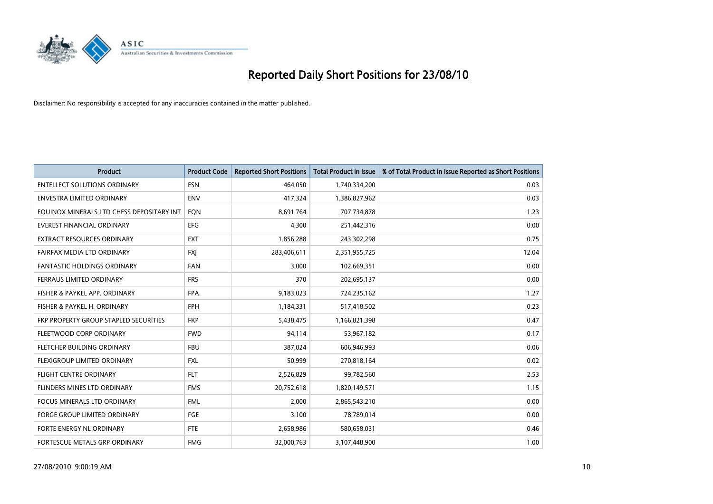

| <b>Product</b>                            | <b>Product Code</b> | <b>Reported Short Positions</b> | <b>Total Product in Issue</b> | % of Total Product in Issue Reported as Short Positions |
|-------------------------------------------|---------------------|---------------------------------|-------------------------------|---------------------------------------------------------|
| <b>ENTELLECT SOLUTIONS ORDINARY</b>       | <b>ESN</b>          | 464,050                         | 1,740,334,200                 | 0.03                                                    |
| ENVESTRA LIMITED ORDINARY                 | <b>ENV</b>          | 417,324                         | 1,386,827,962                 | 0.03                                                    |
| EQUINOX MINERALS LTD CHESS DEPOSITARY INT | EON                 | 8,691,764                       | 707,734,878                   | 1.23                                                    |
| <b>EVEREST FINANCIAL ORDINARY</b>         | <b>EFG</b>          | 4,300                           | 251,442,316                   | 0.00                                                    |
| <b>EXTRACT RESOURCES ORDINARY</b>         | <b>EXT</b>          | 1,856,288                       | 243,302,298                   | 0.75                                                    |
| FAIRFAX MEDIA LTD ORDINARY                | <b>FXI</b>          | 283,406,611                     | 2,351,955,725                 | 12.04                                                   |
| <b>FANTASTIC HOLDINGS ORDINARY</b>        | FAN                 | 3,000                           | 102,669,351                   | 0.00                                                    |
| FERRAUS LIMITED ORDINARY                  | <b>FRS</b>          | 370                             | 202,695,137                   | 0.00                                                    |
| FISHER & PAYKEL APP. ORDINARY             | <b>FPA</b>          | 9,183,023                       | 724,235,162                   | 1.27                                                    |
| FISHER & PAYKEL H. ORDINARY               | <b>FPH</b>          | 1,184,331                       | 517,418,502                   | 0.23                                                    |
| FKP PROPERTY GROUP STAPLED SECURITIES     | <b>FKP</b>          | 5,438,475                       | 1,166,821,398                 | 0.47                                                    |
| FLEETWOOD CORP ORDINARY                   | <b>FWD</b>          | 94,114                          | 53,967,182                    | 0.17                                                    |
| FLETCHER BUILDING ORDINARY                | <b>FBU</b>          | 387,024                         | 606,946,993                   | 0.06                                                    |
| FLEXIGROUP LIMITED ORDINARY               | <b>FXL</b>          | 50,999                          | 270,818,164                   | 0.02                                                    |
| <b>FLIGHT CENTRE ORDINARY</b>             | <b>FLT</b>          | 2,526,829                       | 99,782,560                    | 2.53                                                    |
| FLINDERS MINES LTD ORDINARY               | <b>FMS</b>          | 20,752,618                      | 1,820,149,571                 | 1.15                                                    |
| <b>FOCUS MINERALS LTD ORDINARY</b>        | <b>FML</b>          | 2,000                           | 2,865,543,210                 | 0.00                                                    |
| FORGE GROUP LIMITED ORDINARY              | FGE                 | 3,100                           | 78,789,014                    | 0.00                                                    |
| FORTE ENERGY NL ORDINARY                  | <b>FTE</b>          | 2,658,986                       | 580,658,031                   | 0.46                                                    |
| FORTESCUE METALS GRP ORDINARY             | <b>FMG</b>          | 32,000,763                      | 3,107,448,900                 | 1.00                                                    |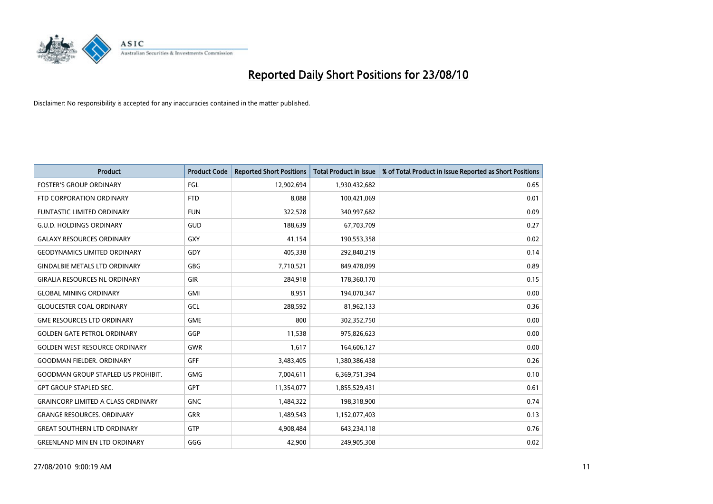

| <b>Product</b>                            | <b>Product Code</b> | <b>Reported Short Positions</b> | <b>Total Product in Issue</b> | % of Total Product in Issue Reported as Short Positions |
|-------------------------------------------|---------------------|---------------------------------|-------------------------------|---------------------------------------------------------|
| <b>FOSTER'S GROUP ORDINARY</b>            | FGL                 | 12,902,694                      | 1,930,432,682                 | 0.65                                                    |
| FTD CORPORATION ORDINARY                  | <b>FTD</b>          | 8,088                           | 100,421,069                   | 0.01                                                    |
| <b>FUNTASTIC LIMITED ORDINARY</b>         | <b>FUN</b>          | 322,528                         | 340,997,682                   | 0.09                                                    |
| <b>G.U.D. HOLDINGS ORDINARY</b>           | GUD                 | 188,639                         | 67,703,709                    | 0.27                                                    |
| <b>GALAXY RESOURCES ORDINARY</b>          | <b>GXY</b>          | 41,154                          | 190,553,358                   | 0.02                                                    |
| <b>GEODYNAMICS LIMITED ORDINARY</b>       | GDY                 | 405,338                         | 292,840,219                   | 0.14                                                    |
| <b>GINDALBIE METALS LTD ORDINARY</b>      | GBG                 | 7,710,521                       | 849,478,099                   | 0.89                                                    |
| <b>GIRALIA RESOURCES NL ORDINARY</b>      | <b>GIR</b>          | 284,918                         | 178,360,170                   | 0.15                                                    |
| <b>GLOBAL MINING ORDINARY</b>             | <b>GMI</b>          | 8,951                           | 194,070,347                   | 0.00                                                    |
| <b>GLOUCESTER COAL ORDINARY</b>           | GCL                 | 288,592                         | 81,962,133                    | 0.36                                                    |
| <b>GME RESOURCES LTD ORDINARY</b>         | <b>GME</b>          | 800                             | 302,352,750                   | 0.00                                                    |
| <b>GOLDEN GATE PETROL ORDINARY</b>        | GGP                 | 11,538                          | 975,826,623                   | 0.00                                                    |
| <b>GOLDEN WEST RESOURCE ORDINARY</b>      | <b>GWR</b>          | 1,617                           | 164,606,127                   | 0.00                                                    |
| <b>GOODMAN FIELDER, ORDINARY</b>          | <b>GFF</b>          | 3,483,405                       | 1,380,386,438                 | 0.26                                                    |
| <b>GOODMAN GROUP STAPLED US PROHIBIT.</b> | <b>GMG</b>          | 7,004,611                       | 6,369,751,394                 | 0.10                                                    |
| <b>GPT GROUP STAPLED SEC.</b>             | <b>GPT</b>          | 11,354,077                      | 1,855,529,431                 | 0.61                                                    |
| <b>GRAINCORP LIMITED A CLASS ORDINARY</b> | <b>GNC</b>          | 1,484,322                       | 198,318,900                   | 0.74                                                    |
| <b>GRANGE RESOURCES. ORDINARY</b>         | <b>GRR</b>          | 1,489,543                       | 1,152,077,403                 | 0.13                                                    |
| <b>GREAT SOUTHERN LTD ORDINARY</b>        | <b>GTP</b>          | 4,908,484                       | 643,234,118                   | 0.76                                                    |
| <b>GREENLAND MIN EN LTD ORDINARY</b>      | GGG                 | 42,900                          | 249,905,308                   | 0.02                                                    |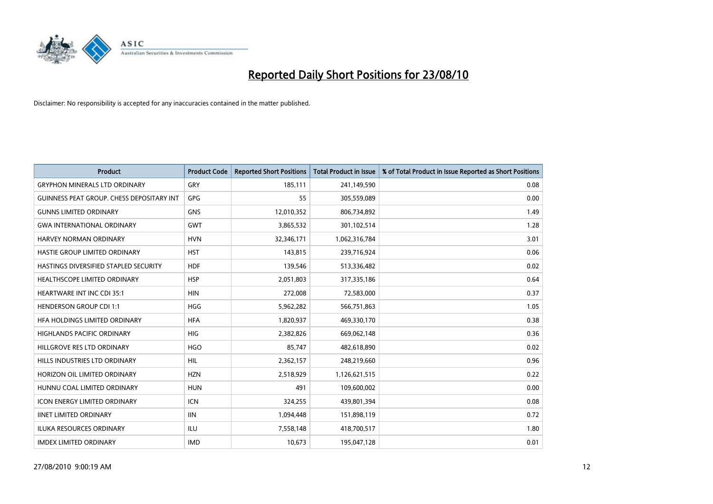

| <b>Product</b>                                   | <b>Product Code</b> | <b>Reported Short Positions</b> | <b>Total Product in Issue</b> | % of Total Product in Issue Reported as Short Positions |
|--------------------------------------------------|---------------------|---------------------------------|-------------------------------|---------------------------------------------------------|
| <b>GRYPHON MINERALS LTD ORDINARY</b>             | GRY                 | 185,111                         | 241,149,590                   | 0.08                                                    |
| <b>GUINNESS PEAT GROUP. CHESS DEPOSITARY INT</b> | GPG                 | 55                              | 305,559,089                   | 0.00                                                    |
| <b>GUNNS LIMITED ORDINARY</b>                    | <b>GNS</b>          | 12,010,352                      | 806,734,892                   | 1.49                                                    |
| <b>GWA INTERNATIONAL ORDINARY</b>                | GWT                 | 3,865,532                       | 301,102,514                   | 1.28                                                    |
| HARVEY NORMAN ORDINARY                           | <b>HVN</b>          | 32,346,171                      | 1,062,316,784                 | 3.01                                                    |
| HASTIE GROUP LIMITED ORDINARY                    | <b>HST</b>          | 143,815                         | 239,716,924                   | 0.06                                                    |
| HASTINGS DIVERSIFIED STAPLED SECURITY            | <b>HDF</b>          | 139,546                         | 513,336,482                   | 0.02                                                    |
| <b>HEALTHSCOPE LIMITED ORDINARY</b>              | <b>HSP</b>          | 2,051,803                       | 317,335,186                   | 0.64                                                    |
| <b>HEARTWARE INT INC CDI 35:1</b>                | <b>HIN</b>          | 272,008                         | 72,583,000                    | 0.37                                                    |
| <b>HENDERSON GROUP CDI 1:1</b>                   | <b>HGG</b>          | 5,962,282                       | 566,751,863                   | 1.05                                                    |
| HFA HOLDINGS LIMITED ORDINARY                    | <b>HFA</b>          | 1,820,937                       | 469,330,170                   | 0.38                                                    |
| HIGHLANDS PACIFIC ORDINARY                       | <b>HIG</b>          | 2,382,826                       | 669,062,148                   | 0.36                                                    |
| HILLGROVE RES LTD ORDINARY                       | <b>HGO</b>          | 85,747                          | 482,618,890                   | 0.02                                                    |
| HILLS INDUSTRIES LTD ORDINARY                    | <b>HIL</b>          | 2,362,157                       | 248,219,660                   | 0.96                                                    |
| HORIZON OIL LIMITED ORDINARY                     | <b>HZN</b>          | 2,518,929                       | 1,126,621,515                 | 0.22                                                    |
| HUNNU COAL LIMITED ORDINARY                      | <b>HUN</b>          | 491                             | 109,600,002                   | 0.00                                                    |
| ICON ENERGY LIMITED ORDINARY                     | <b>ICN</b>          | 324,255                         | 439,801,394                   | 0.08                                                    |
| <b>IINET LIMITED ORDINARY</b>                    | <b>IIN</b>          | 1,094,448                       | 151,898,119                   | 0.72                                                    |
| ILUKA RESOURCES ORDINARY                         | ILU                 | 7,558,148                       | 418,700,517                   | 1.80                                                    |
| <b>IMDEX LIMITED ORDINARY</b>                    | <b>IMD</b>          | 10,673                          | 195,047,128                   | 0.01                                                    |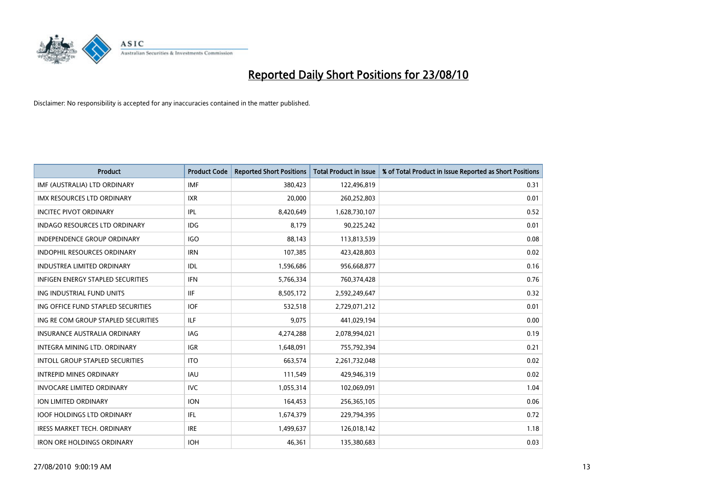

| <b>Product</b>                           | <b>Product Code</b> | <b>Reported Short Positions</b> | <b>Total Product in Issue</b> | % of Total Product in Issue Reported as Short Positions |
|------------------------------------------|---------------------|---------------------------------|-------------------------------|---------------------------------------------------------|
| IMF (AUSTRALIA) LTD ORDINARY             | <b>IMF</b>          | 380,423                         | 122,496,819                   | 0.31                                                    |
| IMX RESOURCES LTD ORDINARY               | <b>IXR</b>          | 20,000                          | 260,252,803                   | 0.01                                                    |
| <b>INCITEC PIVOT ORDINARY</b>            | IPL                 | 8,420,649                       | 1,628,730,107                 | 0.52                                                    |
| INDAGO RESOURCES LTD ORDINARY            | <b>IDG</b>          | 8,179                           | 90,225,242                    | 0.01                                                    |
| <b>INDEPENDENCE GROUP ORDINARY</b>       | <b>IGO</b>          | 88,143                          | 113,813,539                   | 0.08                                                    |
| <b>INDOPHIL RESOURCES ORDINARY</b>       | <b>IRN</b>          | 107,385                         | 423,428,803                   | 0.02                                                    |
| <b>INDUSTREA LIMITED ORDINARY</b>        | IDL                 | 1,596,686                       | 956,668,877                   | 0.16                                                    |
| <b>INFIGEN ENERGY STAPLED SECURITIES</b> | <b>IFN</b>          | 5,766,334                       | 760,374,428                   | 0.76                                                    |
| ING INDUSTRIAL FUND UNITS                | <b>IIF</b>          | 8,505,172                       | 2,592,249,647                 | 0.32                                                    |
| ING OFFICE FUND STAPLED SECURITIES       | <b>IOF</b>          | 532,518                         | 2,729,071,212                 | 0.01                                                    |
| ING RE COM GROUP STAPLED SECURITIES      | <b>ILF</b>          | 9,075                           | 441,029,194                   | 0.00                                                    |
| <b>INSURANCE AUSTRALIA ORDINARY</b>      | <b>IAG</b>          | 4,274,288                       | 2,078,994,021                 | 0.19                                                    |
| INTEGRA MINING LTD, ORDINARY             | <b>IGR</b>          | 1,648,091                       | 755,792,394                   | 0.21                                                    |
| <b>INTOLL GROUP STAPLED SECURITIES</b>   | <b>ITO</b>          | 663,574                         | 2,261,732,048                 | 0.02                                                    |
| <b>INTREPID MINES ORDINARY</b>           | <b>IAU</b>          | 111,549                         | 429,946,319                   | 0.02                                                    |
| <b>INVOCARE LIMITED ORDINARY</b>         | <b>IVC</b>          | 1,055,314                       | 102,069,091                   | 1.04                                                    |
| <b>ION LIMITED ORDINARY</b>              | <b>ION</b>          | 164,453                         | 256,365,105                   | 0.06                                                    |
| <b>IOOF HOLDINGS LTD ORDINARY</b>        | IFL                 | 1,674,379                       | 229,794,395                   | 0.72                                                    |
| <b>IRESS MARKET TECH. ORDINARY</b>       | <b>IRE</b>          | 1,499,637                       | 126,018,142                   | 1.18                                                    |
| <b>IRON ORE HOLDINGS ORDINARY</b>        | <b>IOH</b>          | 46.361                          | 135,380,683                   | 0.03                                                    |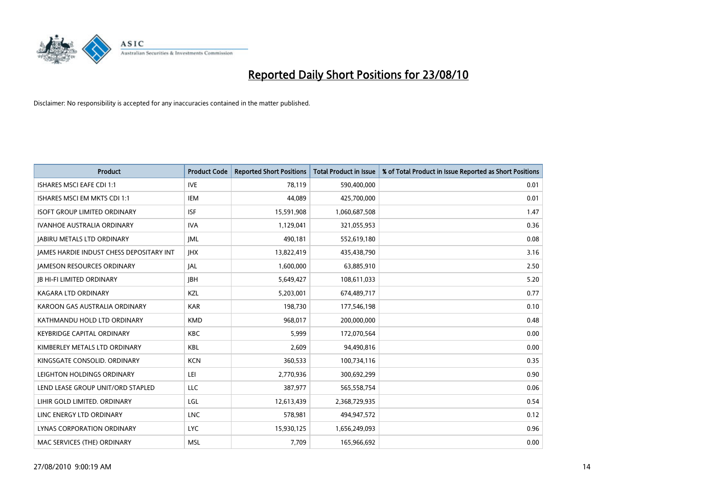

| <b>Product</b>                                  | <b>Product Code</b> | <b>Reported Short Positions</b> | Total Product in Issue | % of Total Product in Issue Reported as Short Positions |
|-------------------------------------------------|---------------------|---------------------------------|------------------------|---------------------------------------------------------|
| <b>ISHARES MSCI EAFE CDI 1:1</b>                | <b>IVE</b>          | 78,119                          | 590,400,000            | 0.01                                                    |
| ISHARES MSCI EM MKTS CDI 1:1                    | <b>IEM</b>          | 44,089                          | 425,700,000            | 0.01                                                    |
| <b>ISOFT GROUP LIMITED ORDINARY</b>             | <b>ISF</b>          | 15,591,908                      | 1,060,687,508          | 1.47                                                    |
| <b>IVANHOE AUSTRALIA ORDINARY</b>               | <b>IVA</b>          | 1,129,041                       | 321,055,953            | 0.36                                                    |
| <b>JABIRU METALS LTD ORDINARY</b>               | <b>JML</b>          | 490,181                         | 552,619,180            | 0.08                                                    |
| <b>JAMES HARDIE INDUST CHESS DEPOSITARY INT</b> | <b>IHX</b>          | 13,822,419                      | 435,438,790            | 3.16                                                    |
| <b>JAMESON RESOURCES ORDINARY</b>               | <b>JAL</b>          | 1,600,000                       | 63,885,910             | 2.50                                                    |
| <b>JB HI-FI LIMITED ORDINARY</b>                | <b>IBH</b>          | 5,649,427                       | 108,611,033            | 5.20                                                    |
| <b>KAGARA LTD ORDINARY</b>                      | KZL                 | 5,203,001                       | 674,489,717            | 0.77                                                    |
| KAROON GAS AUSTRALIA ORDINARY                   | <b>KAR</b>          | 198,730                         | 177,546,198            | 0.10                                                    |
| KATHMANDU HOLD LTD ORDINARY                     | <b>KMD</b>          | 968,017                         | 200,000,000            | 0.48                                                    |
| <b>KEYBRIDGE CAPITAL ORDINARY</b>               | <b>KBC</b>          | 5,999                           | 172,070,564            | 0.00                                                    |
| KIMBERLEY METALS LTD ORDINARY                   | <b>KBL</b>          | 2,609                           | 94,490,816             | 0.00                                                    |
| KINGSGATE CONSOLID. ORDINARY                    | <b>KCN</b>          | 360,533                         | 100,734,116            | 0.35                                                    |
| LEIGHTON HOLDINGS ORDINARY                      | LEI                 | 2,770,936                       | 300,692,299            | 0.90                                                    |
| LEND LEASE GROUP UNIT/ORD STAPLED               | LLC                 | 387,977                         | 565,558,754            | 0.06                                                    |
| LIHIR GOLD LIMITED. ORDINARY                    | LGL                 | 12,613,439                      | 2,368,729,935          | 0.54                                                    |
| LINC ENERGY LTD ORDINARY                        | <b>LNC</b>          | 578,981                         | 494,947,572            | 0.12                                                    |
| LYNAS CORPORATION ORDINARY                      | <b>LYC</b>          | 15,930,125                      | 1,656,249,093          | 0.96                                                    |
| MAC SERVICES (THE) ORDINARY                     | <b>MSL</b>          | 7,709                           | 165,966,692            | 0.00                                                    |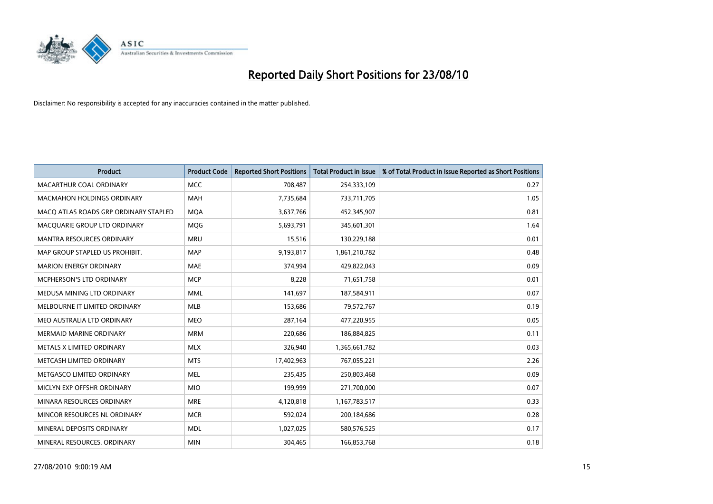

| <b>Product</b>                        | <b>Product Code</b> | <b>Reported Short Positions</b> | Total Product in Issue | % of Total Product in Issue Reported as Short Positions |
|---------------------------------------|---------------------|---------------------------------|------------------------|---------------------------------------------------------|
| <b>MACARTHUR COAL ORDINARY</b>        | <b>MCC</b>          | 708,487                         | 254,333,109            | 0.27                                                    |
| <b>MACMAHON HOLDINGS ORDINARY</b>     | <b>MAH</b>          | 7,735,684                       | 733,711,705            | 1.05                                                    |
| MACO ATLAS ROADS GRP ORDINARY STAPLED | <b>MQA</b>          | 3,637,766                       | 452,345,907            | 0.81                                                    |
| MACQUARIE GROUP LTD ORDINARY          | MQG                 | 5,693,791                       | 345,601,301            | 1.64                                                    |
| <b>MANTRA RESOURCES ORDINARY</b>      | <b>MRU</b>          | 15,516                          | 130,229,188            | 0.01                                                    |
| MAP GROUP STAPLED US PROHIBIT.        | <b>MAP</b>          | 9,193,817                       | 1,861,210,782          | 0.48                                                    |
| <b>MARION ENERGY ORDINARY</b>         | <b>MAE</b>          | 374,994                         | 429,822,043            | 0.09                                                    |
| MCPHERSON'S LTD ORDINARY              | <b>MCP</b>          | 8,228                           | 71,651,758             | 0.01                                                    |
| MEDUSA MINING LTD ORDINARY            | <b>MML</b>          | 141,697                         | 187,584,911            | 0.07                                                    |
| MELBOURNE IT LIMITED ORDINARY         | MLB                 | 153,686                         | 79,572,767             | 0.19                                                    |
| MEO AUSTRALIA LTD ORDINARY            | <b>MEO</b>          | 287,164                         | 477,220,955            | 0.05                                                    |
| <b>MERMAID MARINE ORDINARY</b>        | <b>MRM</b>          | 220,686                         | 186,884,825            | 0.11                                                    |
| METALS X LIMITED ORDINARY             | <b>MLX</b>          | 326,940                         | 1,365,661,782          | 0.03                                                    |
| METCASH LIMITED ORDINARY              | <b>MTS</b>          | 17,402,963                      | 767,055,221            | 2.26                                                    |
| METGASCO LIMITED ORDINARY             | <b>MEL</b>          | 235,435                         | 250,803,468            | 0.09                                                    |
| MICLYN EXP OFFSHR ORDINARY            | <b>MIO</b>          | 199,999                         | 271,700,000            | 0.07                                                    |
| MINARA RESOURCES ORDINARY             | <b>MRE</b>          | 4,120,818                       | 1,167,783,517          | 0.33                                                    |
| MINCOR RESOURCES NL ORDINARY          | <b>MCR</b>          | 592,024                         | 200,184,686            | 0.28                                                    |
| MINERAL DEPOSITS ORDINARY             | <b>MDL</b>          | 1,027,025                       | 580,576,525            | 0.17                                                    |
| MINERAL RESOURCES. ORDINARY           | <b>MIN</b>          | 304,465                         | 166,853,768            | 0.18                                                    |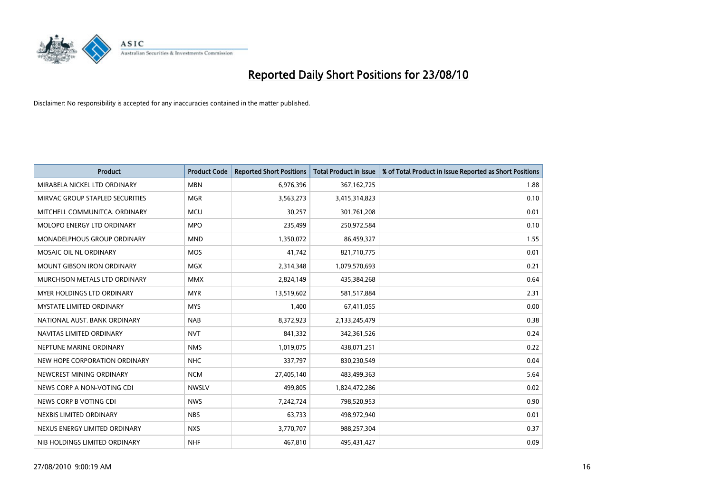

| <b>Product</b>                    | <b>Product Code</b> | <b>Reported Short Positions</b> | <b>Total Product in Issue</b> | % of Total Product in Issue Reported as Short Positions |
|-----------------------------------|---------------------|---------------------------------|-------------------------------|---------------------------------------------------------|
| MIRABELA NICKEL LTD ORDINARY      | <b>MBN</b>          | 6,976,396                       | 367, 162, 725                 | 1.88                                                    |
| MIRVAC GROUP STAPLED SECURITIES   | <b>MGR</b>          | 3,563,273                       | 3,415,314,823                 | 0.10                                                    |
| MITCHELL COMMUNITCA, ORDINARY     | <b>MCU</b>          | 30.257                          | 301,761,208                   | 0.01                                                    |
| MOLOPO ENERGY LTD ORDINARY        | <b>MPO</b>          | 235,499                         | 250,972,584                   | 0.10                                                    |
| MONADELPHOUS GROUP ORDINARY       | <b>MND</b>          | 1,350,072                       | 86,459,327                    | 1.55                                                    |
| MOSAIC OIL NL ORDINARY            | <b>MOS</b>          | 41,742                          | 821,710,775                   | 0.01                                                    |
| <b>MOUNT GIBSON IRON ORDINARY</b> | <b>MGX</b>          | 2,314,348                       | 1,079,570,693                 | 0.21                                                    |
| MURCHISON METALS LTD ORDINARY     | <b>MMX</b>          | 2,824,149                       | 435,384,268                   | 0.64                                                    |
| <b>MYER HOLDINGS LTD ORDINARY</b> | <b>MYR</b>          | 13,519,602                      | 581,517,884                   | 2.31                                                    |
| <b>MYSTATE LIMITED ORDINARY</b>   | <b>MYS</b>          | 1,400                           | 67,411,055                    | 0.00                                                    |
| NATIONAL AUST. BANK ORDINARY      | <b>NAB</b>          | 8,372,923                       | 2,133,245,479                 | 0.38                                                    |
| NAVITAS LIMITED ORDINARY          | <b>NVT</b>          | 841,332                         | 342,361,526                   | 0.24                                                    |
| NEPTUNE MARINE ORDINARY           | <b>NMS</b>          | 1,019,075                       | 438,071,251                   | 0.22                                                    |
| NEW HOPE CORPORATION ORDINARY     | <b>NHC</b>          | 337,797                         | 830,230,549                   | 0.04                                                    |
| NEWCREST MINING ORDINARY          | <b>NCM</b>          | 27,405,140                      | 483,499,363                   | 5.64                                                    |
| NEWS CORP A NON-VOTING CDI        | <b>NWSLV</b>        | 499,805                         | 1,824,472,286                 | 0.02                                                    |
| NEWS CORP B VOTING CDI            | <b>NWS</b>          | 7,242,724                       | 798,520,953                   | 0.90                                                    |
| NEXBIS LIMITED ORDINARY           | <b>NBS</b>          | 63,733                          | 498,972,940                   | 0.01                                                    |
| NEXUS ENERGY LIMITED ORDINARY     | <b>NXS</b>          | 3,770,707                       | 988,257,304                   | 0.37                                                    |
| NIB HOLDINGS LIMITED ORDINARY     | <b>NHF</b>          | 467,810                         | 495,431,427                   | 0.09                                                    |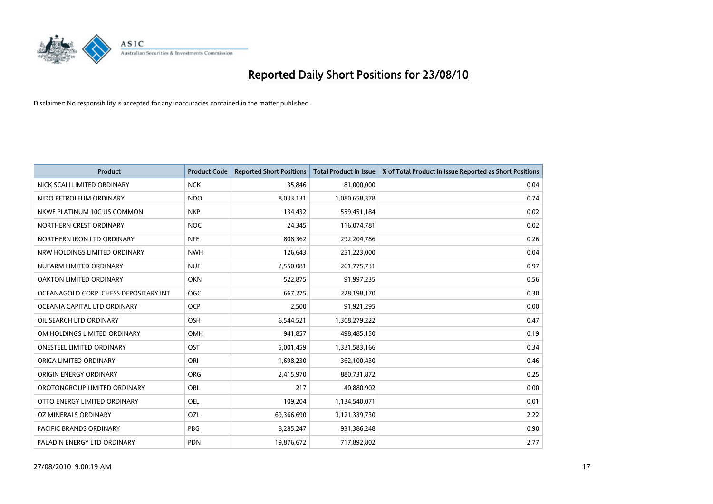

| <b>Product</b>                        | <b>Product Code</b> | <b>Reported Short Positions</b> | <b>Total Product in Issue</b> | % of Total Product in Issue Reported as Short Positions |
|---------------------------------------|---------------------|---------------------------------|-------------------------------|---------------------------------------------------------|
| NICK SCALI LIMITED ORDINARY           | <b>NCK</b>          | 35,846                          | 81,000,000                    | 0.04                                                    |
| NIDO PETROLEUM ORDINARY               | <b>NDO</b>          | 8,033,131                       | 1,080,658,378                 | 0.74                                                    |
| NKWE PLATINUM 10C US COMMON           | <b>NKP</b>          | 134,432                         | 559,451,184                   | 0.02                                                    |
| NORTHERN CREST ORDINARY               | <b>NOC</b>          | 24,345                          | 116,074,781                   | 0.02                                                    |
| NORTHERN IRON LTD ORDINARY            | <b>NFE</b>          | 808,362                         | 292,204,786                   | 0.26                                                    |
| NRW HOLDINGS LIMITED ORDINARY         | <b>NWH</b>          | 126,643                         | 251,223,000                   | 0.04                                                    |
| NUFARM LIMITED ORDINARY               | <b>NUF</b>          | 2,550,081                       | 261,775,731                   | 0.97                                                    |
| OAKTON LIMITED ORDINARY               | <b>OKN</b>          | 522,875                         | 91,997,235                    | 0.56                                                    |
| OCEANAGOLD CORP. CHESS DEPOSITARY INT | <b>OGC</b>          | 667,275                         | 228,198,170                   | 0.30                                                    |
| OCEANIA CAPITAL LTD ORDINARY          | <b>OCP</b>          | 2,500                           | 91,921,295                    | 0.00                                                    |
| OIL SEARCH LTD ORDINARY               | <b>OSH</b>          | 6,544,521                       | 1,308,279,222                 | 0.47                                                    |
| OM HOLDINGS LIMITED ORDINARY          | OMH                 | 941,857                         | 498,485,150                   | 0.19                                                    |
| <b>ONESTEEL LIMITED ORDINARY</b>      | OST                 | 5,001,459                       | 1,331,583,166                 | 0.34                                                    |
| ORICA LIMITED ORDINARY                | ORI                 | 1,698,230                       | 362,100,430                   | 0.46                                                    |
| ORIGIN ENERGY ORDINARY                | <b>ORG</b>          | 2,415,970                       | 880,731,872                   | 0.25                                                    |
| OROTONGROUP LIMITED ORDINARY          | <b>ORL</b>          | 217                             | 40,880,902                    | 0.00                                                    |
| OTTO ENERGY LIMITED ORDINARY          | <b>OEL</b>          | 109,204                         | 1,134,540,071                 | 0.01                                                    |
| OZ MINERALS ORDINARY                  | OZL                 | 69,366,690                      | 3,121,339,730                 | 2.22                                                    |
| <b>PACIFIC BRANDS ORDINARY</b>        | <b>PBG</b>          | 8,285,247                       | 931,386,248                   | 0.90                                                    |
| PALADIN ENERGY LTD ORDINARY           | <b>PDN</b>          | 19,876,672                      | 717,892,802                   | 2.77                                                    |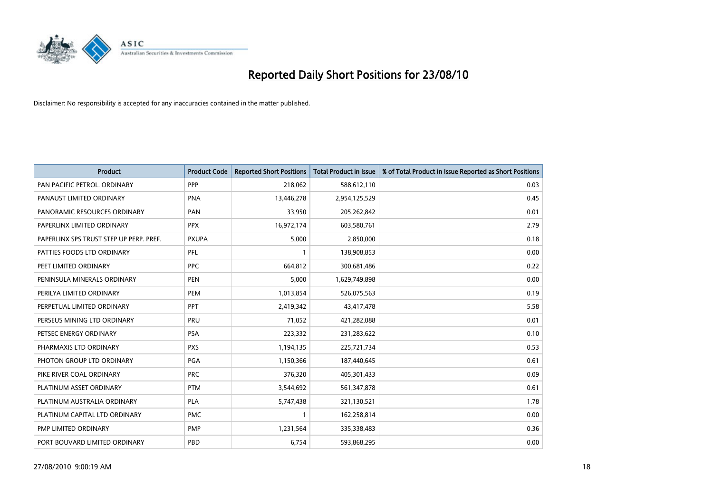

| <b>Product</b>                          | <b>Product Code</b> | <b>Reported Short Positions</b> | <b>Total Product in Issue</b> | % of Total Product in Issue Reported as Short Positions |
|-----------------------------------------|---------------------|---------------------------------|-------------------------------|---------------------------------------------------------|
| PAN PACIFIC PETROL. ORDINARY            | PPP                 | 218,062                         | 588,612,110                   | 0.03                                                    |
| PANAUST LIMITED ORDINARY                | <b>PNA</b>          | 13,446,278                      | 2,954,125,529                 | 0.45                                                    |
| PANORAMIC RESOURCES ORDINARY            | PAN                 | 33,950                          | 205,262,842                   | 0.01                                                    |
| PAPERLINX LIMITED ORDINARY              | <b>PPX</b>          | 16,972,174                      | 603,580,761                   | 2.79                                                    |
| PAPERLINX SPS TRUST STEP UP PERP. PREF. | <b>PXUPA</b>        | 5,000                           | 2,850,000                     | 0.18                                                    |
| PATTIES FOODS LTD ORDINARY              | PFL                 |                                 | 138,908,853                   | 0.00                                                    |
| PEET LIMITED ORDINARY                   | PPC                 | 664,812                         | 300,681,486                   | 0.22                                                    |
| PENINSULA MINERALS ORDINARY             | <b>PEN</b>          | 5,000                           | 1,629,749,898                 | 0.00                                                    |
| PERILYA LIMITED ORDINARY                | PEM                 | 1,013,854                       | 526,075,563                   | 0.19                                                    |
| PERPETUAL LIMITED ORDINARY              | <b>PPT</b>          | 2,419,342                       | 43,417,478                    | 5.58                                                    |
| PERSEUS MINING LTD ORDINARY             | PRU                 | 71,052                          | 421,282,088                   | 0.01                                                    |
| PETSEC ENERGY ORDINARY                  | <b>PSA</b>          | 223,332                         | 231,283,622                   | 0.10                                                    |
| PHARMAXIS LTD ORDINARY                  | <b>PXS</b>          | 1,194,135                       | 225,721,734                   | 0.53                                                    |
| PHOTON GROUP LTD ORDINARY               | PGA                 | 1,150,366                       | 187,440,645                   | 0.61                                                    |
| PIKE RIVER COAL ORDINARY                | <b>PRC</b>          | 376,320                         | 405,301,433                   | 0.09                                                    |
| PLATINUM ASSET ORDINARY                 | <b>PTM</b>          | 3,544,692                       | 561,347,878                   | 0.61                                                    |
| PLATINUM AUSTRALIA ORDINARY             | <b>PLA</b>          | 5,747,438                       | 321,130,521                   | 1.78                                                    |
| PLATINUM CAPITAL LTD ORDINARY           | <b>PMC</b>          |                                 | 162,258,814                   | 0.00                                                    |
| PMP LIMITED ORDINARY                    | <b>PMP</b>          | 1,231,564                       | 335,338,483                   | 0.36                                                    |
| PORT BOUVARD LIMITED ORDINARY           | PBD                 | 6.754                           | 593,868,295                   | 0.00                                                    |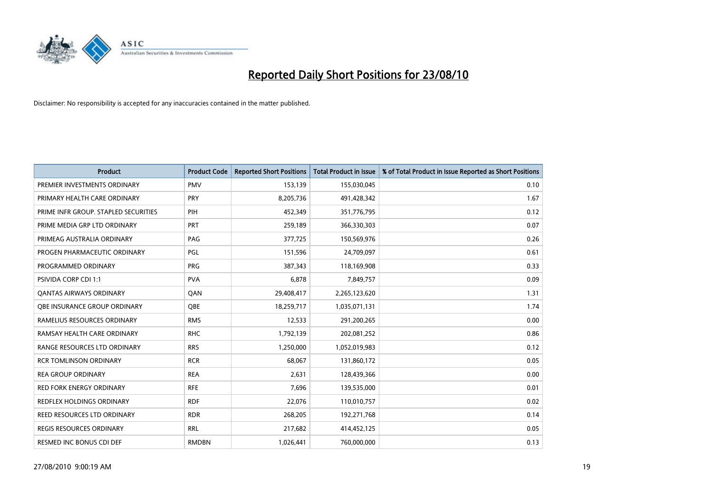

| <b>Product</b>                       | <b>Product Code</b> | <b>Reported Short Positions</b> | <b>Total Product in Issue</b> | % of Total Product in Issue Reported as Short Positions |
|--------------------------------------|---------------------|---------------------------------|-------------------------------|---------------------------------------------------------|
| PREMIER INVESTMENTS ORDINARY         | <b>PMV</b>          | 153,139                         | 155,030,045                   | 0.10                                                    |
| PRIMARY HEALTH CARE ORDINARY         | PRY                 | 8,205,736                       | 491,428,342                   | 1.67                                                    |
| PRIME INFR GROUP. STAPLED SECURITIES | PIH                 | 452,349                         | 351,776,795                   | 0.12                                                    |
| PRIME MEDIA GRP LTD ORDINARY         | PRT                 | 259,189                         | 366,330,303                   | 0.07                                                    |
| PRIMEAG AUSTRALIA ORDINARY           | PAG                 | 377,725                         | 150,569,976                   | 0.26                                                    |
| PROGEN PHARMACEUTIC ORDINARY         | PGL                 | 151,596                         | 24,709,097                    | 0.61                                                    |
| PROGRAMMED ORDINARY                  | <b>PRG</b>          | 387,343                         | 118,169,908                   | 0.33                                                    |
| <b>PSIVIDA CORP CDI 1:1</b>          | <b>PVA</b>          | 6,878                           | 7,849,757                     | 0.09                                                    |
| <b>QANTAS AIRWAYS ORDINARY</b>       | QAN                 | 29,408,417                      | 2,265,123,620                 | 1.31                                                    |
| OBE INSURANCE GROUP ORDINARY         | OBE                 | 18,259,717                      | 1,035,071,131                 | 1.74                                                    |
| RAMELIUS RESOURCES ORDINARY          | <b>RMS</b>          | 12,533                          | 291,200,265                   | 0.00                                                    |
| RAMSAY HEALTH CARE ORDINARY          | <b>RHC</b>          | 1,792,139                       | 202,081,252                   | 0.86                                                    |
| RANGE RESOURCES LTD ORDINARY         | <b>RRS</b>          | 1,250,000                       | 1,052,019,983                 | 0.12                                                    |
| <b>RCR TOMLINSON ORDINARY</b>        | <b>RCR</b>          | 68,067                          | 131,860,172                   | 0.05                                                    |
| <b>REA GROUP ORDINARY</b>            | <b>REA</b>          | 2,631                           | 128,439,366                   | 0.00                                                    |
| RED FORK ENERGY ORDINARY             | <b>RFE</b>          | 7,696                           | 139,535,000                   | 0.01                                                    |
| REDFLEX HOLDINGS ORDINARY            | <b>RDF</b>          | 22,076                          | 110,010,757                   | 0.02                                                    |
| REED RESOURCES LTD ORDINARY          | <b>RDR</b>          | 268,205                         | 192,271,768                   | 0.14                                                    |
| <b>REGIS RESOURCES ORDINARY</b>      | <b>RRL</b>          | 217,682                         | 414,452,125                   | 0.05                                                    |
| <b>RESMED INC BONUS CDI DEF</b>      | <b>RMDBN</b>        | 1,026,441                       | 760,000,000                   | 0.13                                                    |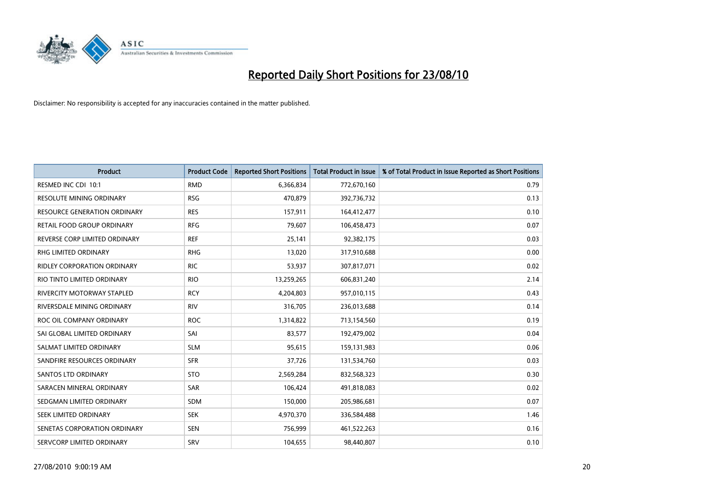

| <b>Product</b>                     | <b>Product Code</b> | <b>Reported Short Positions</b> | <b>Total Product in Issue</b> | % of Total Product in Issue Reported as Short Positions |
|------------------------------------|---------------------|---------------------------------|-------------------------------|---------------------------------------------------------|
| RESMED INC CDI 10:1                | <b>RMD</b>          | 6,366,834                       | 772,670,160                   | 0.79                                                    |
| RESOLUTE MINING ORDINARY           | <b>RSG</b>          | 470,879                         | 392,736,732                   | 0.13                                                    |
| RESOURCE GENERATION ORDINARY       | <b>RES</b>          | 157,911                         | 164,412,477                   | 0.10                                                    |
| RETAIL FOOD GROUP ORDINARY         | <b>RFG</b>          | 79,607                          | 106,458,473                   | 0.07                                                    |
| REVERSE CORP LIMITED ORDINARY      | <b>REF</b>          | 25,141                          | 92,382,175                    | 0.03                                                    |
| <b>RHG LIMITED ORDINARY</b>        | <b>RHG</b>          | 13,020                          | 317,910,688                   | 0.00                                                    |
| <b>RIDLEY CORPORATION ORDINARY</b> | <b>RIC</b>          | 53,937                          | 307,817,071                   | 0.02                                                    |
| RIO TINTO LIMITED ORDINARY         | <b>RIO</b>          | 13,259,265                      | 606,831,240                   | 2.14                                                    |
| <b>RIVERCITY MOTORWAY STAPLED</b>  | <b>RCY</b>          | 4,204,803                       | 957,010,115                   | 0.43                                                    |
| RIVERSDALE MINING ORDINARY         | <b>RIV</b>          | 316,705                         | 236,013,688                   | 0.14                                                    |
| ROC OIL COMPANY ORDINARY           | <b>ROC</b>          | 1,314,822                       | 713,154,560                   | 0.19                                                    |
| SAI GLOBAL LIMITED ORDINARY        | SAI                 | 83,577                          | 192,479,002                   | 0.04                                                    |
| SALMAT LIMITED ORDINARY            | <b>SLM</b>          | 95,615                          | 159,131,983                   | 0.06                                                    |
| SANDFIRE RESOURCES ORDINARY        | <b>SFR</b>          | 37,726                          | 131,534,760                   | 0.03                                                    |
| <b>SANTOS LTD ORDINARY</b>         | <b>STO</b>          | 2,569,284                       | 832,568,323                   | 0.30                                                    |
| SARACEN MINERAL ORDINARY           | <b>SAR</b>          | 106,424                         | 491,818,083                   | 0.02                                                    |
| SEDGMAN LIMITED ORDINARY           | <b>SDM</b>          | 150,000                         | 205,986,681                   | 0.07                                                    |
| SEEK LIMITED ORDINARY              | <b>SEK</b>          | 4,970,370                       | 336,584,488                   | 1.46                                                    |
| SENETAS CORPORATION ORDINARY       | <b>SEN</b>          | 756,999                         | 461,522,263                   | 0.16                                                    |
| SERVCORP LIMITED ORDINARY          | <b>SRV</b>          | 104,655                         | 98,440,807                    | 0.10                                                    |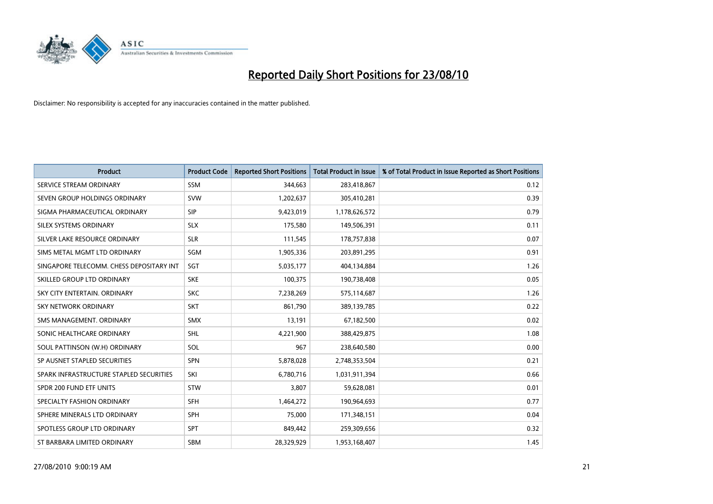

| <b>Product</b>                           | <b>Product Code</b> | <b>Reported Short Positions</b> | <b>Total Product in Issue</b> | % of Total Product in Issue Reported as Short Positions |
|------------------------------------------|---------------------|---------------------------------|-------------------------------|---------------------------------------------------------|
| SERVICE STREAM ORDINARY                  | <b>SSM</b>          | 344,663                         | 283,418,867                   | 0.12                                                    |
| SEVEN GROUP HOLDINGS ORDINARY            | <b>SVW</b>          | 1,202,637                       | 305,410,281                   | 0.39                                                    |
| SIGMA PHARMACEUTICAL ORDINARY            | SIP                 | 9,423,019                       | 1,178,626,572                 | 0.79                                                    |
| SILEX SYSTEMS ORDINARY                   | <b>SLX</b>          | 175,580                         | 149,506,391                   | 0.11                                                    |
| SILVER LAKE RESOURCE ORDINARY            | <b>SLR</b>          | 111,545                         | 178,757,838                   | 0.07                                                    |
| SIMS METAL MGMT LTD ORDINARY             | SGM                 | 1,905,336                       | 203,891,295                   | 0.91                                                    |
| SINGAPORE TELECOMM. CHESS DEPOSITARY INT | SGT                 | 5,035,177                       | 404,134,884                   | 1.26                                                    |
| SKILLED GROUP LTD ORDINARY               | <b>SKE</b>          | 100,375                         | 190,738,408                   | 0.05                                                    |
| SKY CITY ENTERTAIN, ORDINARY             | <b>SKC</b>          | 7,238,269                       | 575,114,687                   | 1.26                                                    |
| <b>SKY NETWORK ORDINARY</b>              | <b>SKT</b>          | 861,790                         | 389,139,785                   | 0.22                                                    |
| SMS MANAGEMENT. ORDINARY                 | <b>SMX</b>          | 13,191                          | 67,182,500                    | 0.02                                                    |
| SONIC HEALTHCARE ORDINARY                | <b>SHL</b>          | 4,221,900                       | 388,429,875                   | 1.08                                                    |
| SOUL PATTINSON (W.H) ORDINARY            | SOL                 | 967                             | 238,640,580                   | 0.00                                                    |
| SP AUSNET STAPLED SECURITIES             | SPN                 | 5,878,028                       | 2,748,353,504                 | 0.21                                                    |
| SPARK INFRASTRUCTURE STAPLED SECURITIES  | SKI                 | 6,780,716                       | 1,031,911,394                 | 0.66                                                    |
| SPDR 200 FUND ETF UNITS                  | STW                 | 3,807                           | 59,628,081                    | 0.01                                                    |
| SPECIALTY FASHION ORDINARY               | <b>SFH</b>          | 1,464,272                       | 190,964,693                   | 0.77                                                    |
| SPHERE MINERALS LTD ORDINARY             | <b>SPH</b>          | 75,000                          | 171,348,151                   | 0.04                                                    |
| SPOTLESS GROUP LTD ORDINARY              | <b>SPT</b>          | 849,442                         | 259,309,656                   | 0.32                                                    |
| ST BARBARA LIMITED ORDINARY              | <b>SBM</b>          | 28,329,929                      | 1,953,168,407                 | 1.45                                                    |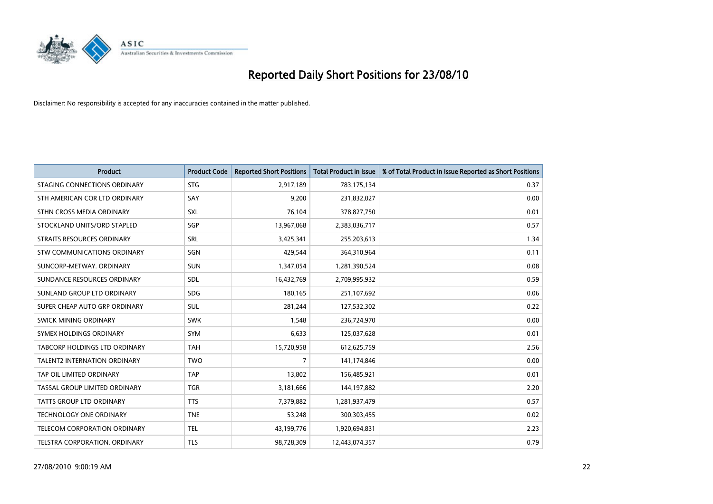

| <b>Product</b>                      | <b>Product Code</b> | <b>Reported Short Positions</b> | <b>Total Product in Issue</b> | % of Total Product in Issue Reported as Short Positions |
|-------------------------------------|---------------------|---------------------------------|-------------------------------|---------------------------------------------------------|
| STAGING CONNECTIONS ORDINARY        | <b>STG</b>          | 2,917,189                       | 783,175,134                   | 0.37                                                    |
| STH AMERICAN COR LTD ORDINARY       | SAY                 | 9,200                           | 231,832,027                   | 0.00                                                    |
| STHN CROSS MEDIA ORDINARY           | SXL                 | 76,104                          | 378,827,750                   | 0.01                                                    |
| STOCKLAND UNITS/ORD STAPLED         | SGP                 | 13,967,068                      | 2,383,036,717                 | 0.57                                                    |
| <b>STRAITS RESOURCES ORDINARY</b>   | SRL                 | 3,425,341                       | 255,203,613                   | 1.34                                                    |
| STW COMMUNICATIONS ORDINARY         | SGN                 | 429.544                         | 364,310,964                   | 0.11                                                    |
| SUNCORP-METWAY, ORDINARY            | <b>SUN</b>          | 1,347,054                       | 1,281,390,524                 | 0.08                                                    |
| SUNDANCE RESOURCES ORDINARY         | <b>SDL</b>          | 16,432,769                      | 2,709,995,932                 | 0.59                                                    |
| SUNLAND GROUP LTD ORDINARY          | <b>SDG</b>          | 180,165                         | 251,107,692                   | 0.06                                                    |
| SUPER CHEAP AUTO GRP ORDINARY       | <b>SUL</b>          | 281,244                         | 127,532,302                   | 0.22                                                    |
| SWICK MINING ORDINARY               | <b>SWK</b>          | 1,548                           | 236,724,970                   | 0.00                                                    |
| SYMEX HOLDINGS ORDINARY             | <b>SYM</b>          | 6,633                           | 125,037,628                   | 0.01                                                    |
| TABCORP HOLDINGS LTD ORDINARY       | <b>TAH</b>          | 15,720,958                      | 612,625,759                   | 2.56                                                    |
| <b>TALENT2 INTERNATION ORDINARY</b> | <b>TWO</b>          | 7                               | 141,174,846                   | 0.00                                                    |
| TAP OIL LIMITED ORDINARY            | <b>TAP</b>          | 13,802                          | 156,485,921                   | 0.01                                                    |
| TASSAL GROUP LIMITED ORDINARY       | <b>TGR</b>          | 3,181,666                       | 144,197,882                   | 2.20                                                    |
| <b>TATTS GROUP LTD ORDINARY</b>     | <b>TTS</b>          | 7,379,882                       | 1,281,937,479                 | 0.57                                                    |
| TECHNOLOGY ONE ORDINARY             | <b>TNE</b>          | 53,248                          | 300,303,455                   | 0.02                                                    |
| TELECOM CORPORATION ORDINARY        | <b>TEL</b>          | 43,199,776                      | 1,920,694,831                 | 2.23                                                    |
| TELSTRA CORPORATION. ORDINARY       | <b>TLS</b>          | 98,728,309                      | 12,443,074,357                | 0.79                                                    |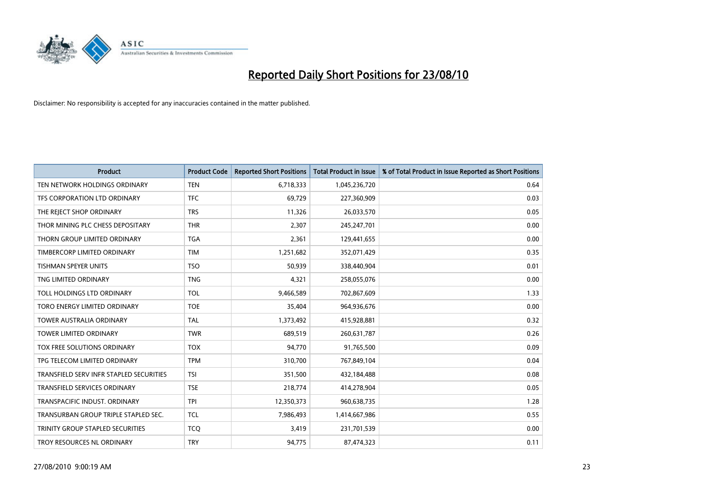

| <b>Product</b>                          | <b>Product Code</b> | <b>Reported Short Positions</b> | <b>Total Product in Issue</b> | % of Total Product in Issue Reported as Short Positions |
|-----------------------------------------|---------------------|---------------------------------|-------------------------------|---------------------------------------------------------|
| TEN NETWORK HOLDINGS ORDINARY           | <b>TEN</b>          | 6,718,333                       | 1,045,236,720                 | 0.64                                                    |
| TFS CORPORATION LTD ORDINARY            | <b>TFC</b>          | 69,729                          | 227,360,909                   | 0.03                                                    |
| THE REJECT SHOP ORDINARY                | <b>TRS</b>          | 11,326                          | 26,033,570                    | 0.05                                                    |
| THOR MINING PLC CHESS DEPOSITARY        | <b>THR</b>          | 2,307                           | 245,247,701                   | 0.00                                                    |
| THORN GROUP LIMITED ORDINARY            | <b>TGA</b>          | 2,361                           | 129,441,655                   | 0.00                                                    |
| TIMBERCORP LIMITED ORDINARY             | <b>TIM</b>          | 1,251,682                       | 352,071,429                   | 0.35                                                    |
| <b>TISHMAN SPEYER UNITS</b>             | <b>TSO</b>          | 50,939                          | 338,440,904                   | 0.01                                                    |
| TNG LIMITED ORDINARY                    | <b>TNG</b>          | 4,321                           | 258,055,076                   | 0.00                                                    |
| TOLL HOLDINGS LTD ORDINARY              | <b>TOL</b>          | 9,466,589                       | 702,867,609                   | 1.33                                                    |
| TORO ENERGY LIMITED ORDINARY            | <b>TOE</b>          | 35,404                          | 964,936,676                   | 0.00                                                    |
| TOWER AUSTRALIA ORDINARY                | <b>TAL</b>          | 1,373,492                       | 415,928,881                   | 0.32                                                    |
| <b>TOWER LIMITED ORDINARY</b>           | <b>TWR</b>          | 689,519                         | 260,631,787                   | 0.26                                                    |
| TOX FREE SOLUTIONS ORDINARY             | <b>TOX</b>          | 94,770                          | 91,765,500                    | 0.09                                                    |
| TPG TELECOM LIMITED ORDINARY            | <b>TPM</b>          | 310,700                         | 767,849,104                   | 0.04                                                    |
| TRANSFIELD SERV INFR STAPLED SECURITIES | <b>TSI</b>          | 351,500                         | 432,184,488                   | 0.08                                                    |
| <b>TRANSFIELD SERVICES ORDINARY</b>     | <b>TSE</b>          | 218,774                         | 414,278,904                   | 0.05                                                    |
| TRANSPACIFIC INDUST. ORDINARY           | <b>TPI</b>          | 12,350,373                      | 960,638,735                   | 1.28                                                    |
| TRANSURBAN GROUP TRIPLE STAPLED SEC.    | <b>TCL</b>          | 7,986,493                       | 1,414,667,986                 | 0.55                                                    |
| TRINITY GROUP STAPLED SECURITIES        | <b>TCO</b>          | 3,419                           | 231,701,539                   | 0.00                                                    |
| TROY RESOURCES NL ORDINARY              | <b>TRY</b>          | 94,775                          | 87,474,323                    | 0.11                                                    |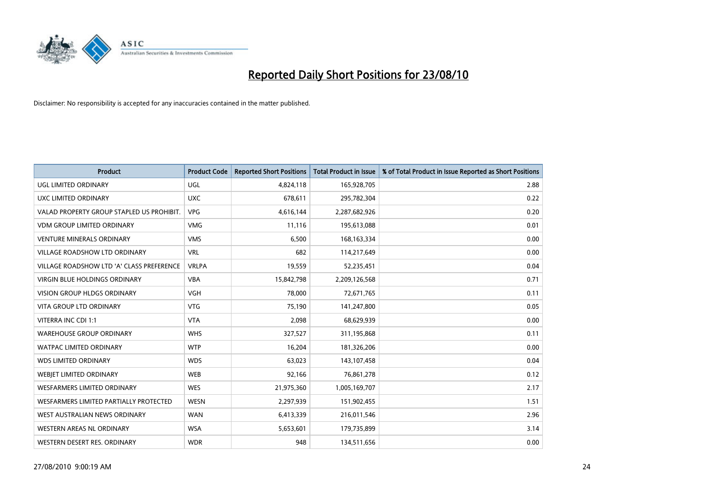

| <b>Product</b>                            | <b>Product Code</b> | <b>Reported Short Positions</b> | <b>Total Product in Issue</b> | % of Total Product in Issue Reported as Short Positions |
|-------------------------------------------|---------------------|---------------------------------|-------------------------------|---------------------------------------------------------|
| <b>UGL LIMITED ORDINARY</b>               | <b>UGL</b>          | 4,824,118                       | 165,928,705                   | 2.88                                                    |
| UXC LIMITED ORDINARY                      | <b>UXC</b>          | 678,611                         | 295,782,304                   | 0.22                                                    |
| VALAD PROPERTY GROUP STAPLED US PROHIBIT. | <b>VPG</b>          | 4,616,144                       | 2,287,682,926                 | 0.20                                                    |
| <b>VDM GROUP LIMITED ORDINARY</b>         | <b>VMG</b>          | 11,116                          | 195,613,088                   | 0.01                                                    |
| <b>VENTURE MINERALS ORDINARY</b>          | <b>VMS</b>          | 6,500                           | 168, 163, 334                 | 0.00                                                    |
| <b>VILLAGE ROADSHOW LTD ORDINARY</b>      | <b>VRL</b>          | 682                             | 114,217,649                   | 0.00                                                    |
| VILLAGE ROADSHOW LTD 'A' CLASS PREFERENCE | <b>VRLPA</b>        | 19,559                          | 52,235,451                    | 0.04                                                    |
| <b>VIRGIN BLUE HOLDINGS ORDINARY</b>      | <b>VBA</b>          | 15,842,798                      | 2,209,126,568                 | 0.71                                                    |
| VISION GROUP HLDGS ORDINARY               | <b>VGH</b>          | 78,000                          | 72,671,765                    | 0.11                                                    |
| VITA GROUP LTD ORDINARY                   | <b>VTG</b>          | 75,190                          | 141,247,800                   | 0.05                                                    |
| VITERRA INC CDI 1:1                       | <b>VTA</b>          | 2,098                           | 68,629,939                    | 0.00                                                    |
| <b>WAREHOUSE GROUP ORDINARY</b>           | <b>WHS</b>          | 327,527                         | 311,195,868                   | 0.11                                                    |
| <b>WATPAC LIMITED ORDINARY</b>            | <b>WTP</b>          | 16,204                          | 181,326,206                   | 0.00                                                    |
| <b>WDS LIMITED ORDINARY</b>               | <b>WDS</b>          | 63,023                          | 143,107,458                   | 0.04                                                    |
| WEBJET LIMITED ORDINARY                   | <b>WEB</b>          | 92,166                          | 76,861,278                    | 0.12                                                    |
| WESFARMERS LIMITED ORDINARY               | <b>WES</b>          | 21,975,360                      | 1,005,169,707                 | 2.17                                                    |
| WESFARMERS LIMITED PARTIALLY PROTECTED    | <b>WESN</b>         | 2,297,939                       | 151,902,455                   | 1.51                                                    |
| WEST AUSTRALIAN NEWS ORDINARY             | <b>WAN</b>          | 6,413,339                       | 216,011,546                   | 2.96                                                    |
| WESTERN AREAS NL ORDINARY                 | <b>WSA</b>          | 5,653,601                       | 179,735,899                   | 3.14                                                    |
| WESTERN DESERT RES. ORDINARY              | <b>WDR</b>          | 948                             | 134,511,656                   | 0.00                                                    |